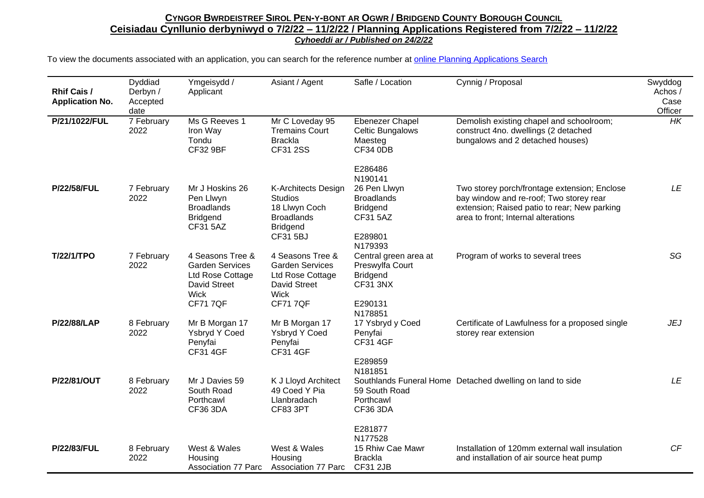| <b>Rhif Cais /</b><br><b>Application No.</b> | Dyddiad<br>Derbyn /<br>Accepted<br>date | Ymgeisydd /<br>Applicant                                                                                               | Asiant / Agent                                                                                                         | Safle / Location                                                                                     | Cynnig / Proposal                                                                                                                                                              | Swyddog<br>Achos /<br>Case<br>Officer |
|----------------------------------------------|-----------------------------------------|------------------------------------------------------------------------------------------------------------------------|------------------------------------------------------------------------------------------------------------------------|------------------------------------------------------------------------------------------------------|--------------------------------------------------------------------------------------------------------------------------------------------------------------------------------|---------------------------------------|
| P/21/1022/FUL                                | 7 February<br>2022                      | Ms G Reeves 1<br>Iron Way<br>Tondu<br><b>CF32 9BF</b>                                                                  | Mr C Loveday 95<br><b>Tremains Court</b><br><b>Brackla</b><br><b>CF31 2SS</b>                                          | Ebenezer Chapel<br>Celtic Bungalows<br>Maesteg<br><b>CF34 0DB</b>                                    | Demolish existing chapel and schoolroom;<br>construct 4no. dwellings (2 detached<br>bungalows and 2 detached houses)                                                           | HK                                    |
|                                              |                                         |                                                                                                                        |                                                                                                                        | E286486<br>N190141                                                                                   |                                                                                                                                                                                |                                       |
| <b>P/22/58/FUL</b>                           | 7 February<br>2022                      | Mr J Hoskins 26<br>Pen Llwyn<br><b>Broadlands</b><br><b>Bridgend</b><br><b>CF31 5AZ</b>                                | K-Architects Design<br><b>Studios</b><br>18 Llwyn Coch<br><b>Broadlands</b><br><b>Bridgend</b><br><b>CF31 5BJ</b>      | 26 Pen Llwyn<br><b>Broadlands</b><br><b>Bridgend</b><br><b>CF31 5AZ</b><br>E289801<br>N179393        | Two storey porch/frontage extension; Enclose<br>bay window and re-roof; Two storey rear<br>extension; Raised patio to rear; New parking<br>area to front; Internal alterations | LE                                    |
| <b>T/22/1/TPO</b>                            | 7 February<br>2022                      | 4 Seasons Tree &<br><b>Garden Services</b><br>Ltd Rose Cottage<br><b>David Street</b><br><b>Wick</b><br><b>CF717QF</b> | 4 Seasons Tree &<br><b>Garden Services</b><br>Ltd Rose Cottage<br><b>David Street</b><br><b>Wick</b><br><b>CF717QF</b> | Central green area at<br>Preswylfa Court<br><b>Bridgend</b><br><b>CF31 3NX</b><br>E290131<br>N178851 | Program of works to several trees                                                                                                                                              | SG                                    |
| <b>P/22/88/LAP</b>                           | 8 February<br>2022                      | Mr B Morgan 17<br>Ysbryd Y Coed<br>Penyfai<br><b>CF31 4GF</b>                                                          | Mr B Morgan 17<br>Ysbryd Y Coed<br>Penyfai<br><b>CF31 4GF</b>                                                          | 17 Ysbryd y Coed<br>Penyfai<br><b>CF31 4GF</b><br>E289859<br>N181851                                 | Certificate of Lawfulness for a proposed single<br>storey rear extension                                                                                                       | <b>JEJ</b>                            |
| P/22/81/OUT                                  | 8 February<br>2022                      | Mr J Davies 59<br>South Road<br>Porthcawl<br><b>CF36 3DA</b>                                                           | K J Lloyd Architect<br>49 Coed Y Pia<br>Llanbradach<br>CF83 3PT                                                        | 59 South Road<br>Porthcawl<br><b>CF36 3DA</b>                                                        | Southlands Funeral Home Detached dwelling on land to side                                                                                                                      | <b>LE</b>                             |
| P/22/83/FUL                                  | 8 February<br>2022                      | West & Wales<br>Housing<br><b>Association 77 Parc</b>                                                                  | West & Wales<br>Housing<br><b>Association 77 Parc</b>                                                                  | E281877<br>N177528<br>15 Rhiw Cae Mawr<br><b>Brackla</b><br>CF31 2JB                                 | Installation of 120mm external wall insulation<br>and installation of air source heat pump                                                                                     | CF                                    |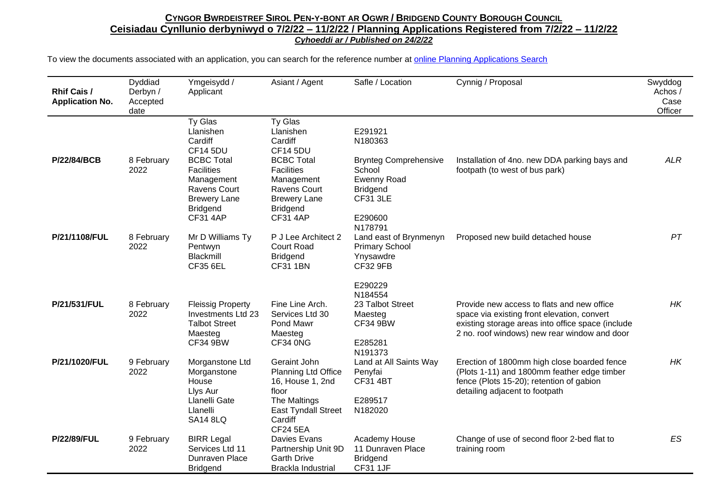| <b>Rhif Cais /</b><br><b>Application No.</b> | Dyddiad<br>Derbyn /<br>Accepted<br>date | Ymgeisydd /<br>Applicant                                                                                                   | Asiant / Agent                                                                                                                              | Safle / Location                                                                                                         | Cynnig / Proposal                                                                                                                                                                              | Swyddog<br>Achos /<br>Case<br>Officer |
|----------------------------------------------|-----------------------------------------|----------------------------------------------------------------------------------------------------------------------------|---------------------------------------------------------------------------------------------------------------------------------------------|--------------------------------------------------------------------------------------------------------------------------|------------------------------------------------------------------------------------------------------------------------------------------------------------------------------------------------|---------------------------------------|
| P/22/84/BCB                                  | 8 February<br>2022                      | Ty Glas<br>Llanishen<br>Cardiff<br><b>CF14 5DU</b><br><b>BCBC Total</b><br><b>Facilities</b><br>Management<br>Ravens Court | Ty Glas<br>Llanishen<br>Cardiff<br><b>CF14 5DU</b><br><b>BCBC Total</b><br><b>Facilities</b><br>Management<br><b>Ravens Court</b>           | E291921<br>N180363<br><b>Brynteg Comprehensive</b><br>School<br><b>Ewenny Road</b><br><b>Bridgend</b><br><b>CF31 3LE</b> | Installation of 4no. new DDA parking bays and<br>footpath (to west of bus park)                                                                                                                | <b>ALR</b>                            |
| P/21/1108/FUL                                | 8 February<br>2022                      | <b>Brewery Lane</b><br><b>Bridgend</b><br><b>CF31 4AP</b><br>Mr D Williams Ty<br>Pentwyn<br>Blackmill<br><b>CF35 6EL</b>   | <b>Brewery Lane</b><br><b>Bridgend</b><br><b>CF31 4AP</b><br>P J Lee Architect 2<br><b>Court Road</b><br><b>Bridgend</b><br><b>CF31 1BN</b> | E290600<br>N178791<br>Land east of Brynmenyn<br><b>Primary School</b><br>Ynysawdre<br><b>CF32 9FB</b>                    | Proposed new build detached house                                                                                                                                                              | PT                                    |
| P/21/531/FUL                                 | 8 February<br>2022                      | <b>Fleissig Property</b><br>Investments Ltd 23<br><b>Talbot Street</b><br>Maesteg<br><b>CF34 9BW</b>                       | Fine Line Arch.<br>Services Ltd 30<br>Pond Mawr<br>Maesteg<br>CF34 0NG                                                                      | E290229<br>N184554<br>23 Talbot Street<br>Maesteg<br><b>CF34 9BW</b><br>E285281<br>N191373                               | Provide new access to flats and new office<br>space via existing front elevation, convert<br>existing storage areas into office space (include<br>2 no. roof windows) new rear window and door | HK                                    |
| P/21/1020/FUL                                | 9 February<br>2022                      | Morganstone Ltd<br>Morganstone<br>House<br>Llys Aur<br>Llanelli Gate<br>Llanelli<br><b>SA14 8LQ</b>                        | Geraint John<br>Planning Ltd Office<br>16, House 1, 2nd<br>floor<br>The Maltings<br>East Tyndall Street<br>Cardiff<br><b>CF24 5EA</b>       | Land at All Saints Way<br>Penyfai<br><b>CF31 4BT</b><br>E289517<br>N182020                                               | Erection of 1800mm high close boarded fence<br>(Plots 1-11) and 1800mm feather edge timber<br>fence (Plots 15-20); retention of gabion<br>detailing adjacent to footpath                       | HK                                    |
| <b>P/22/89/FUL</b>                           | 9 February<br>2022                      | <b>BIRR Legal</b><br>Services Ltd 11<br>Dunraven Place<br><b>Bridgend</b>                                                  | Davies Evans<br>Partnership Unit 9D<br><b>Garth Drive</b><br>Brackla Industrial                                                             | Academy House<br>11 Dunraven Place<br><b>Bridgend</b><br><b>CF31 1JF</b>                                                 | Change of use of second floor 2-bed flat to<br>training room                                                                                                                                   | ES                                    |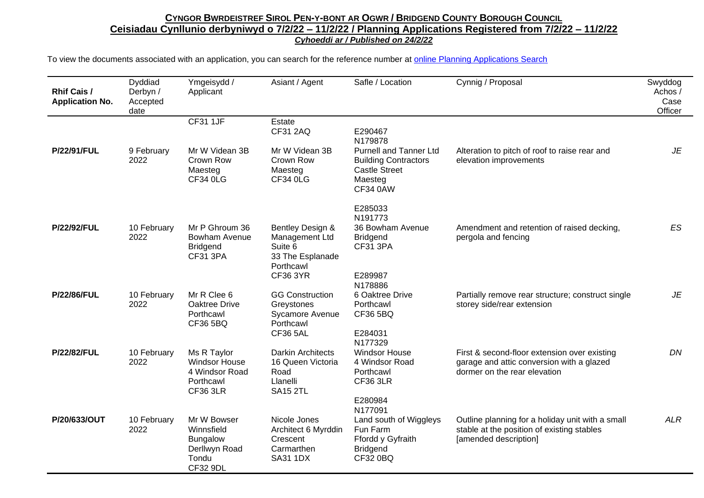| <b>Rhif Cais /</b><br><b>Application No.</b> | Dyddiad<br>Derbyn /<br>Accepted<br>date | Ymgeisydd /<br>Applicant                                                                  | Asiant / Agent                                                                                    | Safle / Location                                                                                            | Cynnig / Proposal                                                                                                         | Swyddog<br>Achos /<br>Case<br>Officer |
|----------------------------------------------|-----------------------------------------|-------------------------------------------------------------------------------------------|---------------------------------------------------------------------------------------------------|-------------------------------------------------------------------------------------------------------------|---------------------------------------------------------------------------------------------------------------------------|---------------------------------------|
|                                              |                                         | <b>CF31 1JF</b>                                                                           | Estate<br><b>CF31 2AQ</b>                                                                         | E290467<br>N179878                                                                                          |                                                                                                                           |                                       |
| <b>P/22/91/FUL</b>                           | 9 February<br>2022                      | Mr W Videan 3B<br>Crown Row<br>Maesteg<br><b>CF34 0LG</b>                                 | Mr W Videan 3B<br>Crown Row<br>Maesteg<br><b>CF34 0LG</b>                                         | <b>Purnell and Tanner Ltd</b><br><b>Building Contractors</b><br><b>Castle Street</b><br>Maesteg<br>CF34 0AW | Alteration to pitch of roof to raise rear and<br>elevation improvements                                                   | JE                                    |
|                                              |                                         |                                                                                           |                                                                                                   | E285033<br>N191773                                                                                          |                                                                                                                           |                                       |
| <b>P/22/92/FUL</b>                           | 10 February<br>2022                     | Mr P Ghroum 36<br><b>Bowham Avenue</b><br><b>Bridgend</b><br><b>CF31 3PA</b>              | Bentley Design &<br>Management Ltd<br>Suite 6<br>33 The Esplanade<br>Porthcawl<br><b>CF36 3YR</b> | 36 Bowham Avenue<br><b>Bridgend</b><br><b>CF31 3PA</b><br>E289987<br>N178886                                | Amendment and retention of raised decking,<br>pergola and fencing                                                         | <b>ES</b>                             |
| <b>P/22/86/FUL</b>                           | 10 February<br>2022                     | Mr R Clee 6<br>Oaktree Drive<br>Porthcawl<br>CF36 5BQ                                     | <b>GG Construction</b><br>Greystones<br>Sycamore Avenue<br>Porthcawl<br><b>CF36 5AL</b>           | 6 Oaktree Drive<br>Porthcawl<br><b>CF36 5BQ</b><br>E284031<br>N177329                                       | Partially remove rear structure; construct single<br>storey side/rear extension                                           | JE                                    |
| <b>P/22/82/FUL</b>                           | 10 February<br>2022                     | Ms R Taylor<br><b>Windsor House</b><br>4 Windsor Road<br>Porthcawl<br><b>CF36 3LR</b>     | <b>Darkin Architects</b><br>16 Queen Victoria<br>Road<br>Llanelli<br><b>SA15 2TL</b>              | <b>Windsor House</b><br>4 Windsor Road<br>Porthcawl<br><b>CF36 3LR</b><br>E280984                           | First & second-floor extension over existing<br>garage and attic conversion with a glazed<br>dormer on the rear elevation | DN                                    |
| P/20/633/OUT                                 | 10 February<br>2022                     | Mr W Bowser<br>Winnsfield<br><b>Bungalow</b><br>Derllwyn Road<br>Tondu<br><b>CF32 9DL</b> | Nicole Jones<br>Architect 6 Myrddin<br>Crescent<br>Carmarthen<br><b>SA31 1DX</b>                  | N177091<br>Land south of Wiggleys<br>Fun Farm<br>Ffordd y Gyfraith<br><b>Bridgend</b><br>CF32 0BQ           | Outline planning for a holiday unit with a small<br>stable at the position of existing stables<br>[amended description]   | <b>ALR</b>                            |